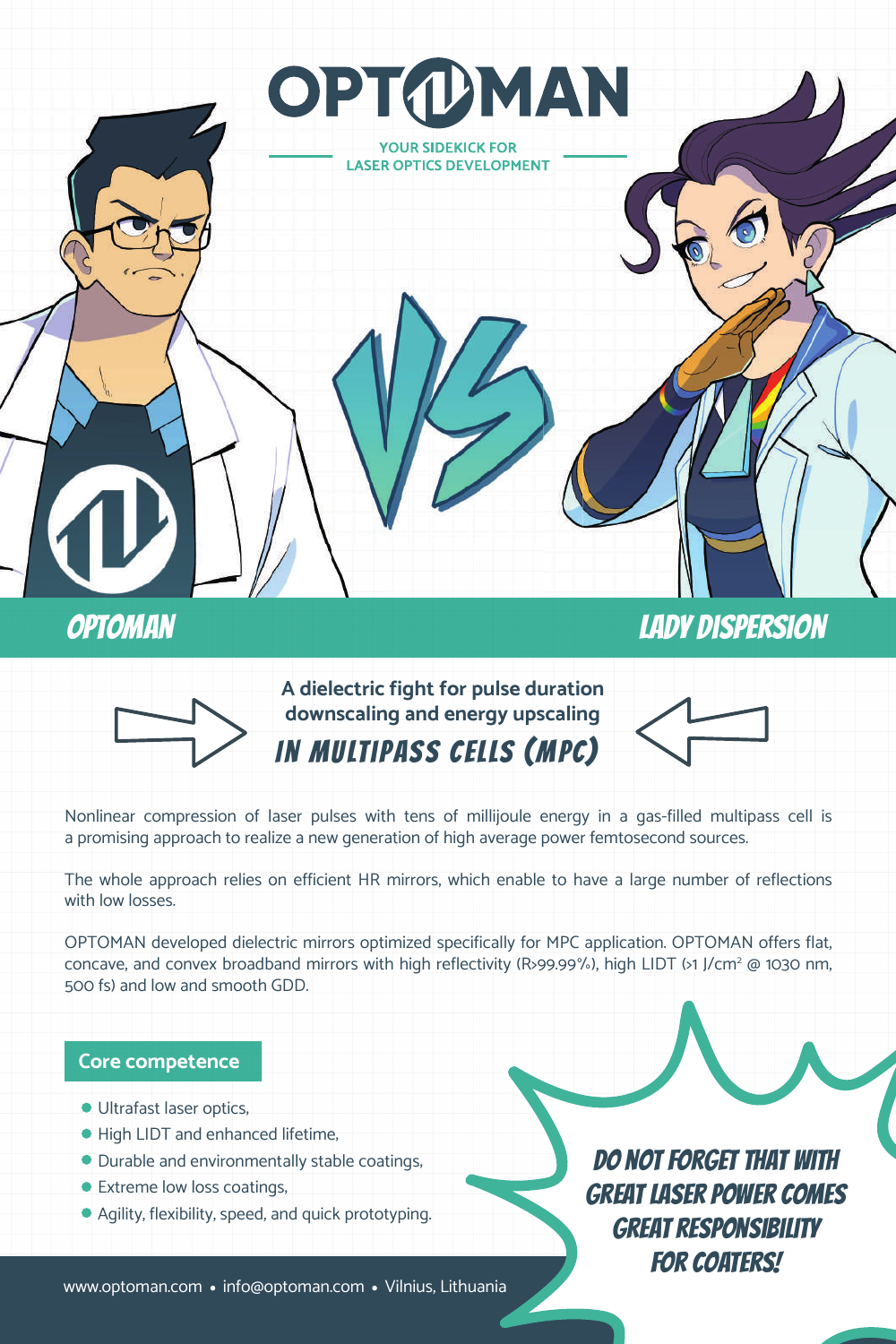

# optoman Lady Dispersion



**downscaling and energy upscaling** In multipass cells (MPC)

**A dielectric fight for pulse duration** 

OPTOMAN

**YOUR SIDEKICK FOR LASER OPTICS DEVELOPMENT** 



Nonlinear compression of laser pulses with tens of millijoule energy in a gas-filled multipass cell is a promising approach to realize a new generation of high average power femtosecond sources.

The whole approach relies on efficient HR mirrors, which enable to have a large number of reflections with low losses.

OPTOMAN developed dielectric mirrors optimized specifically for MPC application. OPTOMAN offers flat, concave, and convex broadband mirrors with high reflectivity (R>99.99%), high LIDT (>1 J/cm<sup>2</sup> @ 1030 nm, 500 fs) and low and smooth GDD.

## **Core competence**

- **Ultrafast laser optics,**
- High LIDT and enhanced lifetime,
- $\bullet$  Durable and environmentally stable coatings,
- **Extreme low loss coatings,**
- $\bullet$  Agility, flexibility, speed, and quick prototyping.

Do not forget that with great laser power comes great responsibility **FOR COATERS!** 

www.optoman.com • info@optoman.com • Vilnius, Lithuania